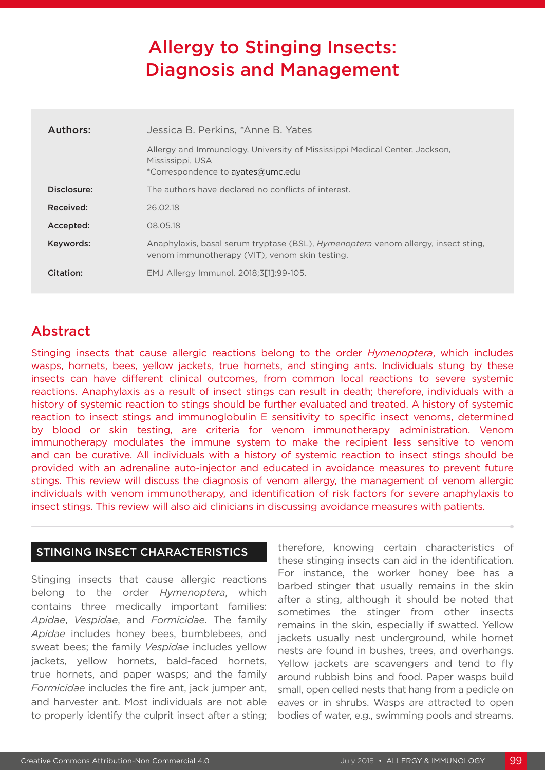# Allergy to Stinging Insects: Diagnosis and Management

| Authors:    | Jessica B. Perkins, *Anne B. Yates                                                                                                         |  |  |  |
|-------------|--------------------------------------------------------------------------------------------------------------------------------------------|--|--|--|
|             | Allergy and Immunology, University of Mississippi Medical Center, Jackson,<br>Mississippi, USA<br>*Correspondence to ayates@umc.edu        |  |  |  |
| Disclosure: | The authors have declared no conflicts of interest.                                                                                        |  |  |  |
| Received:   | 26.02.18                                                                                                                                   |  |  |  |
| Accepted:   | 08.05.18                                                                                                                                   |  |  |  |
| Keywords:   | Anaphylaxis, basal serum tryptase (BSL), <i>Hymenoptera</i> venom allergy, insect sting,<br>venom immunotherapy (VIT), venom skin testing. |  |  |  |
| Citation:   | EMJ Allergy Immunol. 2018;3[1]:99-105.                                                                                                     |  |  |  |

## Abstract

Stinging insects that cause allergic reactions belong to the order *Hymenoptera*, which includes wasps, hornets, bees, yellow jackets, true hornets, and stinging ants. Individuals stung by these insects can have different clinical outcomes, from common local reactions to severe systemic reactions. Anaphylaxis as a result of insect stings can result in death; therefore, individuals with a history of systemic reaction to stings should be further evaluated and treated. A history of systemic reaction to insect stings and immunoglobulin E sensitivity to specific insect venoms, determined by blood or skin testing, are criteria for venom immunotherapy administration. Venom immunotherapy modulates the immune system to make the recipient less sensitive to venom and can be curative. All individuals with a history of systemic reaction to insect stings should be provided with an adrenaline auto-injector and educated in avoidance measures to prevent future stings. This review will discuss the diagnosis of venom allergy, the management of venom allergic individuals with venom immunotherapy, and identification of risk factors for severe anaphylaxis to insect stings. This review will also aid clinicians in discussing avoidance measures with patients.

### STINGING INSECT CHARACTERISTICS

Stinging insects that cause allergic reactions belong to the order *Hymenoptera*, which contains three medically important families: *Apidae*, *Vespidae*, and *Formicidae*. The family *Apidae* includes honey bees, bumblebees, and sweat bees; the family *Vespidae* includes yellow jackets, yellow hornets, bald-faced hornets, true hornets, and paper wasps; and the family *Formicidae* includes the fire ant, jack jumper ant, and harvester ant. Most individuals are not able to properly identify the culprit insect after a sting; therefore, knowing certain characteristics of these stinging insects can aid in the identification. For instance, the worker honey bee has a barbed stinger that usually remains in the skin after a sting, although it should be noted that sometimes the stinger from other insects remains in the skin, especially if swatted. Yellow jackets usually nest underground, while hornet nests are found in bushes, trees, and overhangs. Yellow jackets are scavengers and tend to fly around rubbish bins and food. Paper wasps build small, open celled nests that hang from a pedicle on eaves or in shrubs. Wasps are attracted to open bodies of water, e.g., swimming pools and streams.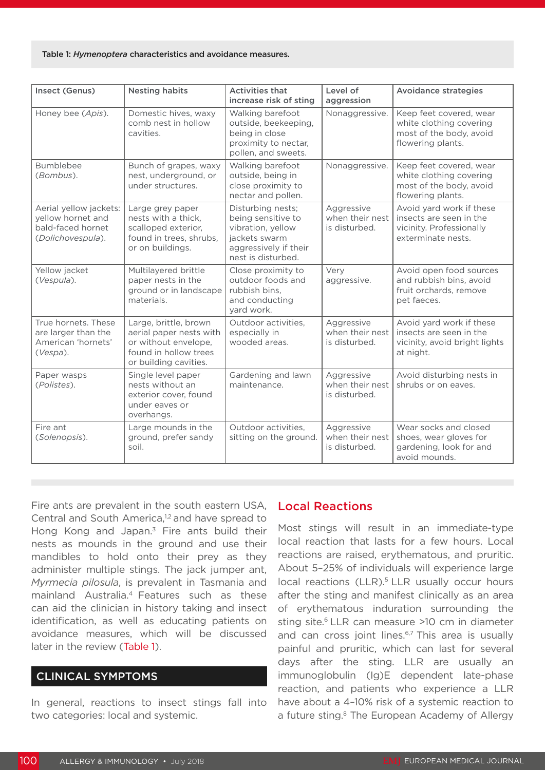#### Table 1: *Hymenoptera* characteristics and avoidance measures.

| Insect (Genus)                                                                        | <b>Nesting habits</b>                                                                                                      | <b>Activities that</b><br>increase risk of sting                                                                             | Level of<br>aggression                         | <b>Avoidance strategies</b>                                                                           |
|---------------------------------------------------------------------------------------|----------------------------------------------------------------------------------------------------------------------------|------------------------------------------------------------------------------------------------------------------------------|------------------------------------------------|-------------------------------------------------------------------------------------------------------|
| Honey bee (Apis).                                                                     | Domestic hives, waxy<br>comb nest in hollow<br>cavities.                                                                   | Walking barefoot<br>outside, beekeeping,<br>being in close<br>proximity to nectar,<br>pollen, and sweets.                    | Nonaggressive.                                 | Keep feet covered, wear<br>white clothing covering<br>most of the body, avoid<br>flowering plants.    |
| Bumblebee<br>(Bombus).                                                                | Bunch of grapes, waxy<br>nest, underground, or<br>under structures.                                                        | Walking barefoot<br>outside, being in<br>close proximity to<br>nectar and pollen.                                            | Nonaggressive.                                 | Keep feet covered, wear<br>white clothing covering<br>most of the body, avoid<br>flowering plants.    |
| Aerial yellow jackets:<br>yellow hornet and<br>bald-faced hornet<br>(Dolichovespula). | Large grey paper<br>nests with a thick,<br>scalloped exterior,<br>found in trees, shrubs,<br>or on buildings.              | Disturbing nests;<br>being sensitive to<br>vibration, yellow<br>jackets swarm<br>aggressively if their<br>nest is disturbed. | Aggressive<br>when their nest<br>is disturbed. | Avoid yard work if these<br>insects are seen in the<br>vicinity. Professionally<br>exterminate nests. |
| Yellow jacket<br>(Vespula).                                                           | Multilayered brittle<br>paper nests in the<br>ground or in landscape<br>materials.                                         | Close proximity to<br>outdoor foods and<br>rubbish bins,<br>and conducting<br>yard work.                                     | Very<br>aggressive.                            | Avoid open food sources<br>and rubbish bins, avoid<br>fruit orchards, remove<br>pet faeces.           |
| True hornets. These<br>are larger than the<br>American 'hornets'<br>$(Vespa)$ .       | Large, brittle, brown<br>aerial paper nests with<br>or without envelope,<br>found in hollow trees<br>or building cavities. | Outdoor activities,<br>especially in<br>wooded areas.                                                                        | Aggressive<br>when their nest<br>is disturbed. | Avoid yard work if these<br>insects are seen in the<br>vicinity, avoid bright lights<br>at night.     |
| Paper wasps<br>(Polistes).                                                            | Single level paper<br>nests without an<br>exterior cover, found<br>under eaves or<br>overhangs.                            | Gardening and lawn<br>maintenance.                                                                                           | Aggressive<br>when their nest<br>is disturbed. | Avoid disturbing nests in<br>shrubs or on eaves.                                                      |
| Fire ant<br>(Solenopsis).                                                             | Large mounds in the<br>ground, prefer sandy<br>soil.                                                                       | Outdoor activities,<br>sitting on the ground.                                                                                | Aggressive<br>when their nest<br>is disturbed. | Wear socks and closed<br>shoes, wear gloves for<br>gardening, look for and<br>avoid mounds.           |

Fire ants are prevalent in the south eastern USA, Central and South America,<sup>1,2</sup> and have spread to Hong Kong and Japan. $3$  Fire ants build their nests as mounds in the ground and use their mandibles to hold onto their prey as they administer multiple stings. The jack jumper ant, *Myrmecia pilosula*, is prevalent in Tasmania and mainland Australia.4 Features such as these can aid the clinician in history taking and insect identification, as well as educating patients on avoidance measures, which will be discussed later in the review (Table 1).

#### CLINICAL SYMPTOMS

In general, reactions to insect stings fall into two categories: local and systemic.

#### Local Reactions

Most stings will result in an immediate-type local reaction that lasts for a few hours. Local reactions are raised, erythematous, and pruritic. About 5–25% of individuals will experience large local reactions (LLR).<sup>5</sup> LLR usually occur hours after the sting and manifest clinically as an area of erythematous induration surrounding the sting site.<sup>6</sup> LLR can measure >10 cm in diameter and can cross joint lines.<sup>6,7</sup> This area is usually painful and pruritic, which can last for several days after the sting. LLR are usually an immunoglobulin (Ig)E dependent late-phase reaction, and patients who experience a LLR have about a 4–10% risk of a systemic reaction to a future sting.<sup>8</sup> The European Academy of Allergy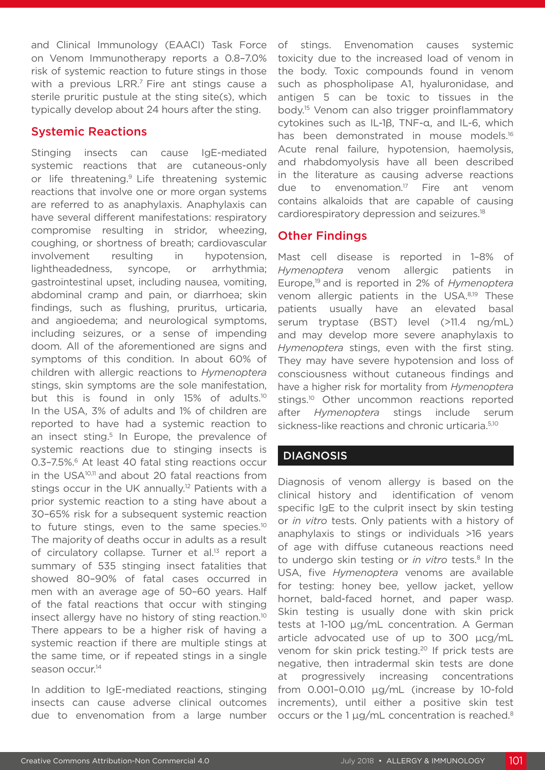and Clinical Immunology (EAACI) Task Force on Venom Immunotherapy reports a 0.8–7.0% risk of systemic reaction to future stings in those with a previous LRR.<sup>7</sup> Fire ant stings cause a sterile pruritic pustule at the sting site(s), which typically develop about 24 hours after the sting.

#### Systemic Reactions

Stinging insects can cause IgE-mediated systemic reactions that are cutaneous-only or life threatening.9 Life threatening systemic reactions that involve one or more organ systems are referred to as anaphylaxis. Anaphylaxis can have several different manifestations: respiratory compromise resulting in stridor, wheezing, coughing, or shortness of breath; cardiovascular involvement resulting in hypotension, lightheadedness, syncope, or arrhythmia; gastrointestinal upset, including nausea, vomiting, abdominal cramp and pain, or diarrhoea; skin findings, such as flushing, pruritus, urticaria, and angioedema; and neurological symptoms, including seizures, or a sense of impending doom. All of the aforementioned are signs and symptoms of this condition. In about 60% of children with allergic reactions to *Hymenoptera*  stings, skin symptoms are the sole manifestation, but this is found in only 15% of adults.<sup>10</sup> In the USA, 3% of adults and 1% of children are reported to have had a systemic reaction to an insect sting.<sup>5</sup> In Europe, the prevalence of systemic reactions due to stinging insects is 0.3-7.5%.<sup>6</sup> At least 40 fatal sting reactions occur in the USA<sup>10,11</sup> and about 20 fatal reactions from stings occur in the UK annually.<sup>12</sup> Patients with a prior systemic reaction to a sting have about a 30–65% risk for a subsequent systemic reaction to future stings, even to the same species.<sup>10</sup> The majority of deaths occur in adults as a result of circulatory collapse. Turner et al.<sup>13</sup> report a summary of 535 stinging insect fatalities that showed 80–90% of fatal cases occurred in men with an average age of 50–60 years. Half of the fatal reactions that occur with stinging insect allergy have no history of sting reaction.<sup>10</sup> There appears to be a higher risk of having a systemic reaction if there are multiple stings at the same time, or if repeated stings in a single season occur.<sup>14</sup>

In addition to IgE-mediated reactions, stinging insects can cause adverse clinical outcomes due to envenomation from a large number of stings. Envenomation causes systemic toxicity due to the increased load of venom in the body. Toxic compounds found in venom such as phospholipase A1, hyaluronidase, and antigen 5 can be toxic to tissues in the body.15 Venom can also trigger proinflammatory cytokines such as IL-1β, TNF-α, and IL-6, which has been demonstrated in mouse models.<sup>16</sup> Acute renal failure, hypotension, haemolysis, and rhabdomyolysis have all been described in the literature as causing adverse reactions due to envenomation.17 Fire ant venom contains alkaloids that are capable of causing cardiorespiratory depression and seizures.18

### Other Findings

Mast cell disease is reported in 1–8% of *Hymenoptera* venom allergic patients in Europe,19 and is reported in 2% of *Hymenoptera*  venom allergic patients in the USA.8,19 These patients usually have an elevated basal serum tryptase (BST) level (>11.4 ng/mL) and may develop more severe anaphylaxis to *Hymenoptera* stings, even with the first sting. They may have severe hypotension and loss of consciousness without cutaneous findings and have a higher risk for mortality from *Hymenoptera* stings.<sup>10</sup> Other uncommon reactions reported after *Hymenoptera* stings include serum sickness-like reactions and chronic urticaria.<sup>5,10</sup>

### **DIAGNOSIS**

Diagnosis of venom allergy is based on the clinical history and identification of venom specific IgE to the culprit insect by skin testing or *in vitro* tests. Only patients with a history of anaphylaxis to stings or individuals >16 years of age with diffuse cutaneous reactions need to undergo skin testing or *in vitro* tests.<sup>8</sup> In the USA, five *Hymenoptera* venoms are available for testing: honey bee, yellow jacket, yellow hornet, bald-faced hornet, and paper wasp. Skin testing is usually done with skin prick tests at 1-100 µg/mL concentration. A German article advocated use of up to 300 µcg/mL venom for skin prick testing.<sup>20</sup> If prick tests are negative, then intradermal skin tests are done at progressively increasing concentrations from 0.001–0.010 µg/mL (increase by 10-fold increments), until either a positive skin test occurs or the 1 µg/mL concentration is reached.<sup>8</sup>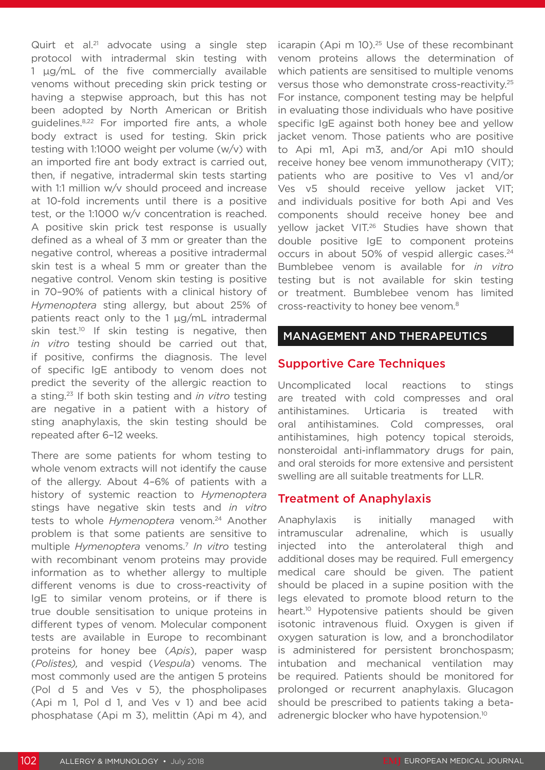Quirt et al.<sup>21</sup> advocate using a single step protocol with intradermal skin testing with 1 µg/mL of the five commercially available venoms without preceding skin prick testing or having a stepwise approach, but this has not been adopted by North American or British guidelines.8,22 For imported fire ants, a whole body extract is used for testing. Skin prick testing with 1:1000 weight per volume (w/v) with an imported fire ant body extract is carried out, then, if negative, intradermal skin tests starting with 1:1 million w/v should proceed and increase at 10-fold increments until there is a positive test, or the 1:1000 w/v concentration is reached. A positive skin prick test response is usually defined as a wheal of 3 mm or greater than the negative control, whereas a positive intradermal skin test is a wheal 5 mm or greater than the negative control. Venom skin testing is positive in 70–90% of patients with a clinical history of *Hymenoptera* sting allergy, but about 25% of patients react only to the 1 µg/mL intradermal skin test.<sup>10</sup> If skin testing is negative, then *in vitro* testing should be carried out that, if positive, confirms the diagnosis. The level of specific IgE antibody to venom does not predict the severity of the allergic reaction to a sting.23 If both skin testing and *in vitro* testing are negative in a patient with a history of sting anaphylaxis, the skin testing should be repeated after 6–12 weeks.

There are some patients for whom testing to whole venom extracts will not identify the cause of the allergy. About 4–6% of patients with a history of systemic reaction to *Hymenoptera*  stings have negative skin tests and *in vitro* tests to whole *Hymenoptera* venom.24 Another problem is that some patients are sensitive to multiple *Hymenoptera* venoms.7 *In vitro* testing with recombinant venom proteins may provide information as to whether allergy to multiple different venoms is due to cross-reactivity of IgE to similar venom proteins, or if there is true double sensitisation to unique proteins in different types of venom. Molecular component tests are available in Europe to recombinant proteins for honey bee (*Apis*), paper wasp (*Polistes),* and vespid (*Vespula*) venoms. The most commonly used are the antigen 5 proteins (Pol d 5 and Ves v 5), the phospholipases (Api m 1, Pol d 1, and Ves v 1) and bee acid phosphatase (Api m 3), melittin (Api m 4), and

icarapin (Api m 10).<sup>25</sup> Use of these recombinant venom proteins allows the determination of which patients are sensitised to multiple venoms versus those who demonstrate cross-reactivity.25 For instance, component testing may be helpful in evaluating those individuals who have positive specific IgE against both honey bee and yellow jacket venom. Those patients who are positive to Api m1, Api m3, and/or Api m10 should receive honey bee venom immunotherapy (VIT); patients who are positive to Ves v1 and/or Ves v5 should receive yellow jacket VIT; and individuals positive for both Api and Ves components should receive honey bee and yellow jacket VIT.26 Studies have shown that double positive IgE to component proteins occurs in about 50% of vespid allergic cases.<sup>24</sup> Bumblebee venom is available for *in vitro* testing but is not available for skin testing or treatment. Bumblebee venom has limited cross-reactivity to honey bee venom.8

#### MANAGEMENT AND THERAPEUTICS

#### Supportive Care Techniques

Uncomplicated local reactions to stings are treated with cold compresses and oral antihistamines. Urticaria is treated with oral antihistamines. Cold compresses, oral antihistamines, high potency topical steroids, nonsteroidal anti-inflammatory drugs for pain, and oral steroids for more extensive and persistent swelling are all suitable treatments for LLR.

#### Treatment of Anaphylaxis

Anaphylaxis is initially managed with intramuscular adrenaline, which is usually injected into the anterolateral thigh and additional doses may be required. Full emergency medical care should be given. The patient should be placed in a supine position with the legs elevated to promote blood return to the heart.<sup>10</sup> Hypotensive patients should be given isotonic intravenous fluid. Oxygen is given if oxygen saturation is low, and a bronchodilator is administered for persistent bronchospasm; intubation and mechanical ventilation may be required. Patients should be monitored for prolonged or recurrent anaphylaxis. Glucagon should be prescribed to patients taking a betaadrenergic blocker who have hypotension.<sup>10</sup>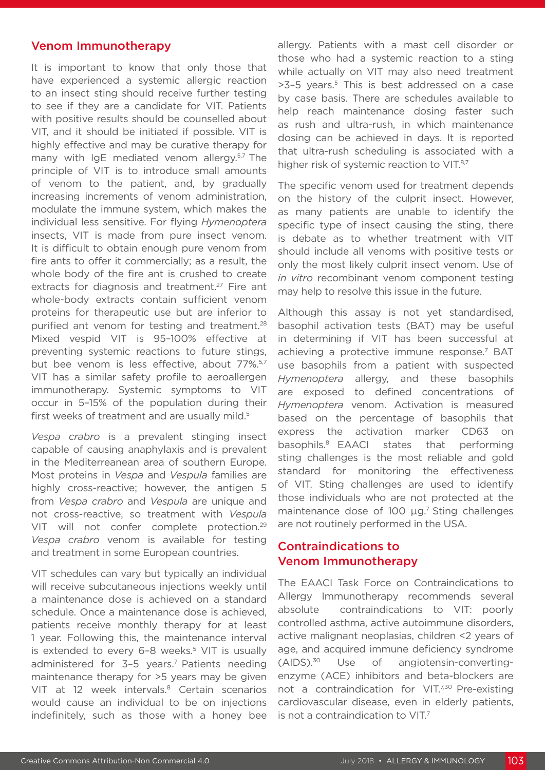#### Venom Immunotherapy

It is important to know that only those that have experienced a systemic allergic reaction to an insect sting should receive further testing to see if they are a candidate for VIT. Patients with positive results should be counselled about VIT, and it should be initiated if possible. VIT is highly effective and may be curative therapy for many with IgE mediated venom allergy.<sup>5,7</sup> The principle of VIT is to introduce small amounts of venom to the patient, and, by gradually increasing increments of venom administration, modulate the immune system, which makes the individual less sensitive. For flying *Hymenoptera*  insects, VIT is made from pure insect venom. It is difficult to obtain enough pure venom from fire ants to offer it commercially; as a result, the whole body of the fire ant is crushed to create extracts for diagnosis and treatment.<sup>27</sup> Fire ant whole-body extracts contain sufficient venom proteins for therapeutic use but are inferior to purified ant venom for testing and treatment.<sup>28</sup> Mixed vespid VIT is 95–100% effective at preventing systemic reactions to future stings, but bee venom is less effective, about 77%.5,7 VIT has a similar safety profile to aeroallergen immunotherapy. Systemic symptoms to VIT occur in 5–15% of the population during their first weeks of treatment and are usually mild.<sup>5</sup>

*Vespa crabro* is a prevalent stinging insect capable of causing anaphylaxis and is prevalent in the Mediterreanean area of southern Europe. Most proteins in *Vespa* and *Vespula* families are highly cross-reactive; however, the antigen 5 from *Vespa crabro* and *Vespula* are unique and not cross-reactive, so treatment with *Vespula* VIT will not confer complete protection.29 *Vespa crabro* venom is available for testing and treatment in some European countries.

VIT schedules can vary but typically an individual will receive subcutaneous injections weekly until a maintenance dose is achieved on a standard schedule. Once a maintenance dose is achieved, patients receive monthly therapy for at least 1 year. Following this, the maintenance interval is extended to every 6-8 weeks.<sup>5</sup> VIT is usually administered for 3-5 years.<sup>7</sup> Patients needing maintenance therapy for >5 years may be given VIT at 12 week intervals.<sup>8</sup> Certain scenarios would cause an individual to be on injections indefinitely, such as those with a honey bee

allergy. Patients with a mast cell disorder or those who had a systemic reaction to a sting while actually on VIT may also need treatment >3-5 years.<sup>5</sup> This is best addressed on a case by case basis. There are schedules available to help reach maintenance dosing faster such as rush and ultra-rush, in which maintenance dosing can be achieved in days. It is reported that ultra-rush scheduling is associated with a higher risk of systemic reaction to VIT.<sup>8,7</sup>

The specific venom used for treatment depends on the history of the culprit insect. However, as many patients are unable to identify the specific type of insect causing the sting, there is debate as to whether treatment with VIT should include all venoms with positive tests or only the most likely culprit insect venom. Use of *in vitro* recombinant venom component testing may help to resolve this issue in the future.

Although this assay is not yet standardised, basophil activation tests (BAT) may be useful in determining if VIT has been successful at achieving a protective immune response.<sup>7</sup> BAT use basophils from a patient with suspected *Hymenoptera* allergy, and these basophils are exposed to defined concentrations of *Hymenoptera* venom. Activation is measured based on the percentage of basophils that express the activation marker CD63 on basophils.8 EAACI states that performing sting challenges is the most reliable and gold standard for monitoring the effectiveness of VIT. Sting challenges are used to identify those individuals who are not protected at the maintenance dose of 100 μg.<sup>7</sup> Sting challenges are not routinely performed in the USA.

### Contraindications to Venom Immunotherapy

The EAACI Task Force on Contraindications to Allergy Immunotherapy recommends several absolute contraindications to VIT: poorly controlled asthma, active autoimmune disorders, active malignant neoplasias, children <2 years of age, and acquired immune deficiency syndrome (AIDS).30 Use of angiotensin-convertingenzyme (ACE) inhibitors and beta-blockers are not a contraindication for VIT.<sup>7,30</sup> Pre-existing cardiovascular disease, even in elderly patients, is not a contraindication to VIT.<sup>7</sup>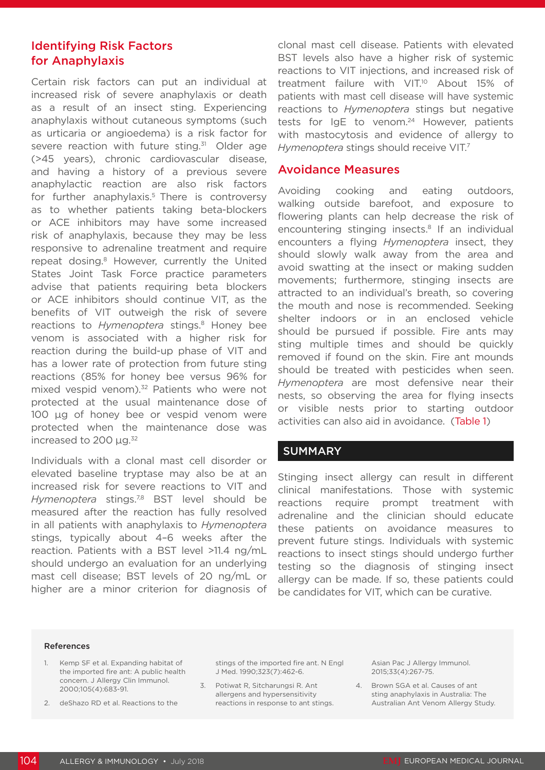## Identifying Risk Factors for Anaphylaxis

Certain risk factors can put an individual at increased risk of severe anaphylaxis or death as a result of an insect sting. Experiencing anaphylaxis without cutaneous symptoms (such as urticaria or angioedema) is a risk factor for severe reaction with future sting.<sup>31</sup> Older age (>45 years), chronic cardiovascular disease, and having a history of a previous severe anaphylactic reaction are also risk factors for further anaphylaxis.<sup>5</sup> There is controversy as to whether patients taking beta-blockers or ACE inhibitors may have some increased risk of anaphylaxis, because they may be less responsive to adrenaline treatment and require repeat dosing.<sup>8</sup> However, currently the United States Joint Task Force practice parameters advise that patients requiring beta blockers or ACE inhibitors should continue VIT, as the benefits of VIT outweigh the risk of severe reactions to *Hymenoptera* stings.<sup>8</sup> Honey bee venom is associated with a higher risk for reaction during the build-up phase of VIT and has a lower rate of protection from future sting reactions (85% for honey bee versus 96% for mixed vespid venom).<sup>32</sup> Patients who were not protected at the usual maintenance dose of 100 µg of honey bee or vespid venom were protected when the maintenance dose was increased to 200 µg.<sup>32</sup>

Individuals with a clonal mast cell disorder or elevated baseline tryptase may also be at an increased risk for severe reactions to VIT and *Hymenoptera* stings.7,8 BST level should be measured after the reaction has fully resolved in all patients with anaphylaxis to *Hymenoptera*  stings, typically about 4–6 weeks after the reaction. Patients with a BST level >11.4 ng/mL should undergo an evaluation for an underlying mast cell disease; BST levels of 20 ng/mL or higher are a minor criterion for diagnosis of clonal mast cell disease. Patients with elevated BST levels also have a higher risk of systemic reactions to VIT injections, and increased risk of treatment failure with VIT.<sup>10</sup> About 15% of patients with mast cell disease will have systemic reactions to *Hymenoptera* stings but negative tests for IgE to venom.<sup>24</sup> However, patients with mastocytosis and evidence of allergy to *Hymenoptera* stings should receive VIT.7

#### Avoidance Measures

Avoiding cooking and eating outdoors, walking outside barefoot, and exposure to flowering plants can help decrease the risk of encountering stinging insects.<sup>8</sup> If an individual encounters a flying *Hymenoptera* insect, they should slowly walk away from the area and avoid swatting at the insect or making sudden movements; furthermore, stinging insects are attracted to an individual's breath, so covering the mouth and nose is recommended. Seeking shelter indoors or in an enclosed vehicle should be pursued if possible. Fire ants may sting multiple times and should be quickly removed if found on the skin. Fire ant mounds should be treated with pesticides when seen. *Hymenoptera* are most defensive near their nests, so observing the area for flying insects or visible nests prior to starting outdoor activities can also aid in avoidance. (Table 1)

#### **SUMMARY**

Stinging insect allergy can result in different clinical manifestations. Those with systemic reactions require prompt treatment with adrenaline and the clinician should educate these patients on avoidance measures to prevent future stings. Individuals with systemic reactions to insect stings should undergo further testing so the diagnosis of stinging insect allergy can be made. If so, these patients could be candidates for VIT, which can be curative.

#### References

- 1. Kemp SF et al. Expanding habitat of the imported fire ant: A public health concern. J Allergy Clin Immunol. 2000;105(4):683-91.
- 2. deShazo RD et al. Reactions to the

stings of the imported fire ant. N Engl J Med. 1990;323(7):462-6.

3. Potiwat R, Sitcharungsi R. Ant allergens and hypersensitivity reactions in response to ant stings. Asian Pac J Allergy Immunol. 2015;33(4):267-75.

4. Brown SGA et al. Causes of ant sting anaphylaxis in Australia: The Australian Ant Venom Allergy Study.